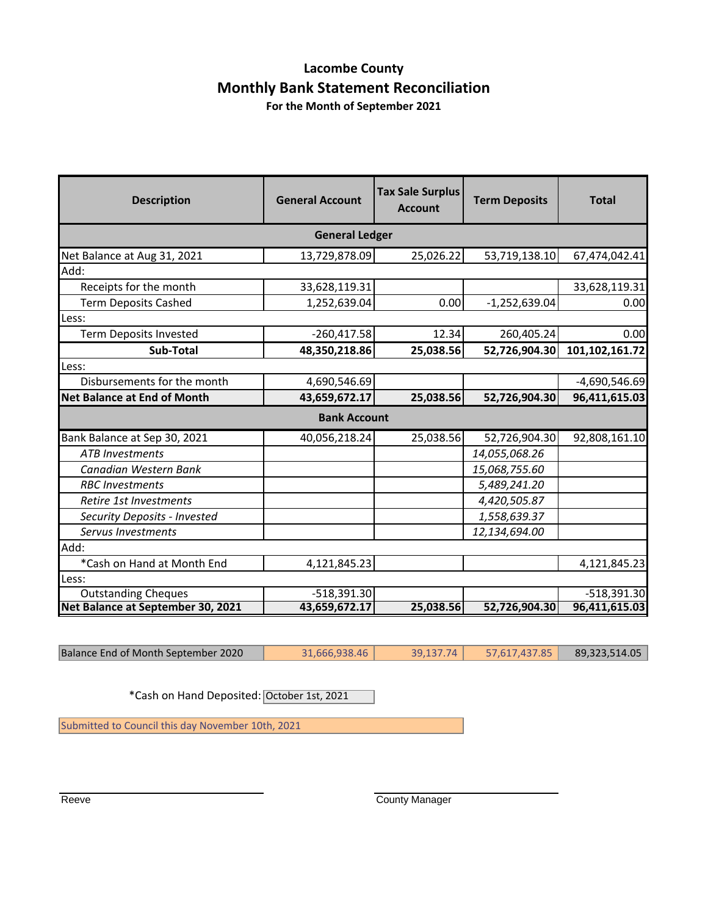### **Lacombe County Monthly Bank Statement Reconciliation**

**For the Month of September 2021**

| <b>Description</b>                 | <b>General Account</b> | <b>Tax Sale Surplus</b><br><b>Account</b> | <b>Term Deposits</b> | <b>Total</b>    |  |  |
|------------------------------------|------------------------|-------------------------------------------|----------------------|-----------------|--|--|
|                                    | <b>General Ledger</b>  |                                           |                      |                 |  |  |
| Net Balance at Aug 31, 2021        | 13,729,878.09          | 25,026.22                                 | 53,719,138.10        | 67,474,042.41   |  |  |
| Add:                               |                        |                                           |                      |                 |  |  |
| Receipts for the month             | 33,628,119.31          |                                           |                      | 33,628,119.31   |  |  |
| <b>Term Deposits Cashed</b>        | 1,252,639.04           | 0.00                                      | $-1,252,639.04$      | 0.00            |  |  |
| Less:                              |                        |                                           |                      |                 |  |  |
| <b>Term Deposits Invested</b>      | $-260,417.58$          | 12.34                                     | 260,405.24           | 0.00            |  |  |
| Sub-Total                          | 48,350,218.86          | 25,038.56                                 | 52,726,904.30        | 101,102,161.72  |  |  |
| Less:                              |                        |                                           |                      |                 |  |  |
| Disbursements for the month        | 4,690,546.69           |                                           |                      | $-4,690,546.69$ |  |  |
| <b>Net Balance at End of Month</b> | 43,659,672.17          | 25,038.56                                 | 52,726,904.30        | 96,411,615.03   |  |  |
|                                    | <b>Bank Account</b>    |                                           |                      |                 |  |  |
| Bank Balance at Sep 30, 2021       | 40,056,218.24          | 25,038.56                                 | 52,726,904.30        | 92,808,161.10   |  |  |
| <b>ATB</b> Investments             |                        |                                           | 14,055,068.26        |                 |  |  |
| Canadian Western Bank              |                        |                                           | 15,068,755.60        |                 |  |  |
| <b>RBC</b> Investments             |                        |                                           | 5,489,241.20         |                 |  |  |
| Retire 1st Investments             |                        |                                           | 4,420,505.87         |                 |  |  |
| Security Deposits - Invested       |                        |                                           | 1,558,639.37         |                 |  |  |
| Servus Investments                 |                        |                                           | 12,134,694.00        |                 |  |  |
| Add:                               |                        |                                           |                      |                 |  |  |
| *Cash on Hand at Month End         | 4,121,845.23           |                                           |                      | 4,121,845.23    |  |  |
| Less:                              |                        |                                           |                      |                 |  |  |
| <b>Outstanding Cheques</b>         | $-518,391.30$          |                                           |                      | $-518,391.30$   |  |  |
| Net Balance at September 30, 2021  | 43,659,672.17          | 25,038.56                                 | 52,726,904.30        | 96,411,615.03   |  |  |

Balance End of Month September 2020 31,666,938.46 39,137.74 57,617,437.85 89,323,514.05

\*Cash on Hand Deposited: October 1st, 2021

Submitted to Council this day November 10th, 2021

Reeve **County Manager** County Manager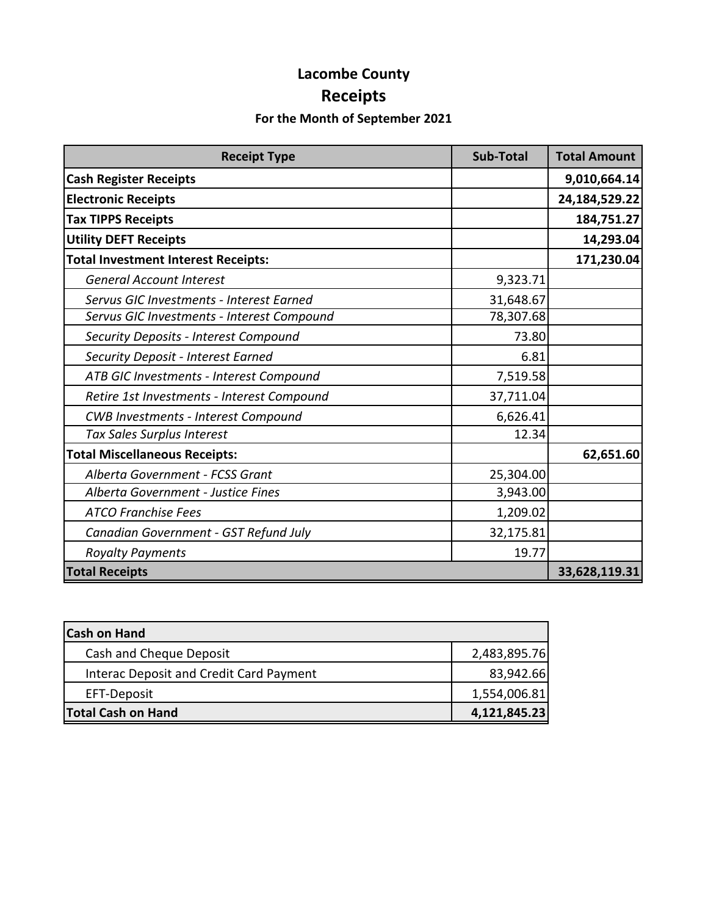# **Lacombe County Receipts**

#### **For the Month of September 2021**

| <b>Receipt Type</b>                        | <b>Sub-Total</b> | <b>Total Amount</b> |
|--------------------------------------------|------------------|---------------------|
| <b>Cash Register Receipts</b>              |                  | 9,010,664.14        |
| <b>Electronic Receipts</b>                 |                  | 24,184,529.22       |
| <b>Tax TIPPS Receipts</b>                  |                  | 184,751.27          |
| <b>Utility DEFT Receipts</b>               |                  | 14,293.04           |
| <b>Total Investment Interest Receipts:</b> |                  | 171,230.04          |
| <b>General Account Interest</b>            | 9,323.71         |                     |
| Servus GIC Investments - Interest Earned   | 31,648.67        |                     |
| Servus GIC Investments - Interest Compound | 78,307.68        |                     |
| Security Deposits - Interest Compound      | 73.80            |                     |
| Security Deposit - Interest Earned         | 6.81             |                     |
| ATB GIC Investments - Interest Compound    | 7,519.58         |                     |
| Retire 1st Investments - Interest Compound | 37,711.04        |                     |
| <b>CWB Investments - Interest Compound</b> | 6,626.41         |                     |
| Tax Sales Surplus Interest                 | 12.34            |                     |
| <b>Total Miscellaneous Receipts:</b>       |                  | 62,651.60           |
| Alberta Government - FCSS Grant            | 25,304.00        |                     |
| Alberta Government - Justice Fines         | 3,943.00         |                     |
| <b>ATCO Franchise Fees</b>                 | 1,209.02         |                     |
| Canadian Government - GST Refund July      | 32,175.81        |                     |
| <b>Royalty Payments</b>                    | 19.77            |                     |
| <b>Total Receipts</b>                      |                  | 33,628,119.31       |

| <b>Cash on Hand</b>                     |              |
|-----------------------------------------|--------------|
| Cash and Cheque Deposit                 | 2,483,895.76 |
| Interac Deposit and Credit Card Payment | 83,942.66    |
| EFT-Deposit                             | 1,554,006.81 |
| <b>Total Cash on Hand</b>               | 4,121,845.23 |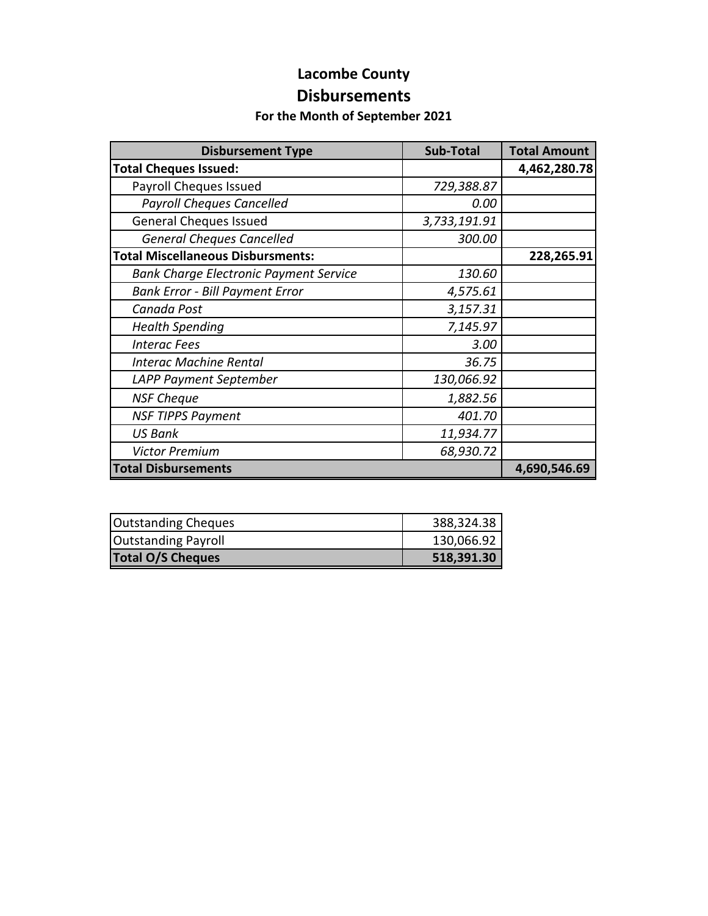# **Lacombe County**

#### **Disbursements**

#### **For the Month of September 2021**

| <b>Disbursement Type</b>                      | <b>Sub-Total</b> | <b>Total Amount</b> |
|-----------------------------------------------|------------------|---------------------|
| <b>Total Cheques Issued:</b>                  |                  | 4,462,280.78        |
| Payroll Cheques Issued                        | 729,388.87       |                     |
| <b>Payroll Cheques Cancelled</b>              | 0.00             |                     |
| <b>General Cheques Issued</b>                 | 3,733,191.91     |                     |
| <b>General Cheques Cancelled</b>              | 300.00           |                     |
| <b>Total Miscellaneous Disbursments:</b>      |                  | 228,265.91          |
| <b>Bank Charge Electronic Payment Service</b> | 130.60           |                     |
| <b>Bank Error - Bill Payment Error</b>        | 4,575.61         |                     |
| Canada Post                                   | 3,157.31         |                     |
| <b>Health Spending</b>                        | 7,145.97         |                     |
| <b>Interac Fees</b>                           | 3.00             |                     |
| <b>Interac Machine Rental</b>                 | 36.75            |                     |
| LAPP Payment September                        | 130,066.92       |                     |
| <b>NSF Cheque</b>                             | 1,882.56         |                     |
| <b>NSF TIPPS Payment</b>                      | 401.70           |                     |
| <b>US Bank</b>                                | 11,934.77        |                     |
| <b>Victor Premium</b>                         | 68,930.72        |                     |
| <b>Total Disbursements</b>                    |                  | 4,690,546.69        |

| Outstanding Cheques        | 388,324.38 |
|----------------------------|------------|
| <b>Outstanding Payroll</b> | 130,066.92 |
| <b>Total O/S Cheques</b>   | 518,391.30 |